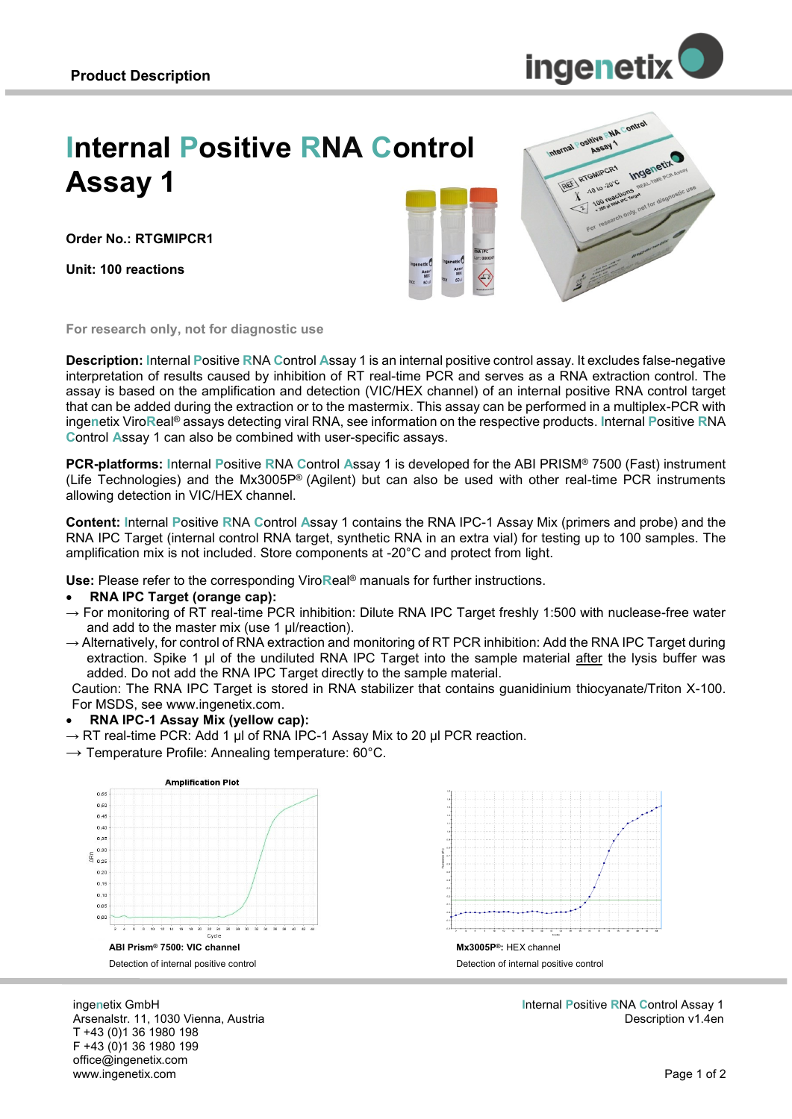

# **Internal Positive RNA Control Assay 1**

**Order No.: RTGMIPCR1**

**Unit: 100 reactions**





**For research only, not for diagnostic use**

**Description: I**nternal **P**ositive **R**NA **C**ontrol **A**ssay 1 is an internal positive control assay. It excludes false-negative interpretation of results caused by inhibition of RT real-time PCR and serves as a RNA extraction control. The assay is based on the amplification and detection (VIC/HEX channel) of an internal positive RNA control target that can be added during the extraction or to the mastermix. This assay can be performed in a multiplex-PCR with inge**n**etix Viro**R**eal® assays detecting viral RNA, see information on the respective products. **I**nternal **P**ositive **R**NA **C**ontrol **A**ssay 1 can also be combined with user-specific assays.

**PCR-platforms: I**nternal **P**ositive **R**NA **C**ontrol **A**ssay 1 is developed for the ABI PRISM® 7500 (Fast) instrument (Life Technologies) and the Mx3005P® (Agilent) but can also be used with other real-time PCR instruments allowing detection in VIC/HEX channel.

**Content: I**nternal **P**ositive **R**NA **C**ontrol **A**ssay 1 contains the RNA IPC-1 Assay Mix (primers and probe) and the RNA IPC Target (internal control RNA target, synthetic RNA in an extra vial) for testing up to 100 samples. The amplification mix is not included. Store components at -20°C and protect from light.

**Use:** Please refer to the corresponding Viro**R**eal® manuals for further instructions.

#### **RNA IPC Target (orange cap):**

- $\rightarrow$  For monitoring of RT real-time PCR inhibition: Dilute RNA IPC Target freshly 1:500 with nuclease-free water and add to the master mix (use 1 µl/reaction).
- $\rightarrow$  Alternatively, for control of RNA extraction and monitoring of RT PCR inhibition: Add the RNA IPC Target during extraction. Spike 1 µl of the undiluted RNA IPC Target into the sample material after the lysis buffer was added. Do not add the RNA IPC Target directly to the sample material.

Caution: The RNA IPC Target is stored in RNA stabilizer that contains guanidinium thiocyanate/Triton X-100. For MSDS, see www.ingenetix.com.

#### **RNA IPC-1 Assay Mix (yellow cap):**

 $\rightarrow$  RT real-time PCR: Add 1 µl of RNA IPC-1 Assay Mix to 20 µl PCR reaction.

 $\rightarrow$  Temperature Profile: Annealing temperature: 60°C.



inge**n**etix GmbH Arsenalstr. 11, 1030 Vienna, Austria T +43 (0)1 36 1980 198 F +43 (0)1 36 1980 199 office@ingenetix.com www.ingenetix.com



**I**nternal **P**ositive **R**NA **C**ontrol Assay 1 Description v1.4en